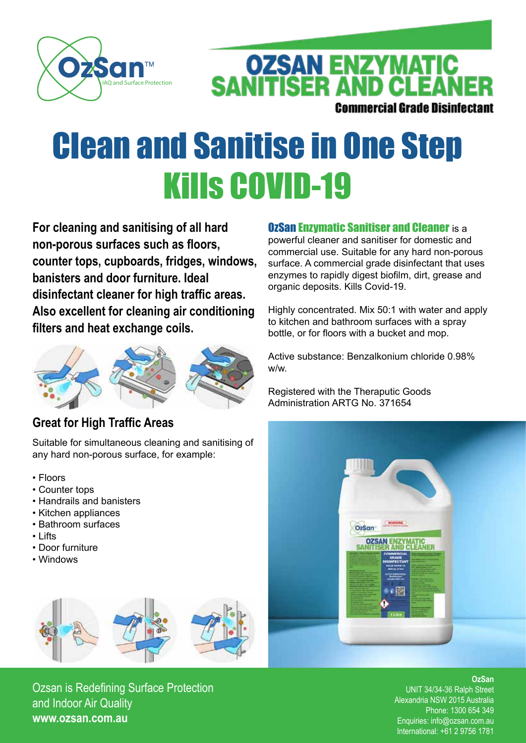

**OZSAN ENZYMATIC<br>SANITISER AND CLEANER Commercial Grade Disinfectant** 

## Clean and Sanitise in One Step Kills COVID-19

**For cleaning and sanitising of all hard non-porous surfaces such as floors, counter tops, cupboards, fridges, windows, banisters and door furniture. Ideal disinfectant cleaner for high traffic areas. Also excellent for cleaning air conditioning filters and heat exchange coils.**



#### **Great for High Traffic Areas**

Suitable for simultaneous cleaning and sanitising of any hard non-porous surface, for example:

- Floors
- Counter tops
- Handrails and banisters
- Kitchen appliances
- Bathroom surfaces
- Lifts
- Door furniture
- Windows



Ozsan is Redefining Surface Protection and Indoor Air Quality **www.ozsan.com.au**

#### **OzSan Enzymatic Sanitiser and Cleaner** is a

powerful cleaner and sanitiser for domestic and commercial use. Suitable for any hard non-porous surface. A commercial grade disinfectant that uses enzymes to rapidly digest biofilm, dirt, grease and organic deposits. Kills Covid-19.

Highly concentrated. Mix 50:1 with water and apply to kitchen and bathroom surfaces with a spray bottle, or for floors with a bucket and mop.

Active substance: Benzalkonium chloride 0.98% w/w.

Registered with the Theraputic Goods Administration ARTG No. 371654



**OzSan**

UNIT 34/34-36 Ralph Street Alexandria NSW 2015 Australia Phone: 1300 654 349 Enquiries: info@ozsan.com.au International: +61 2 9756 1781